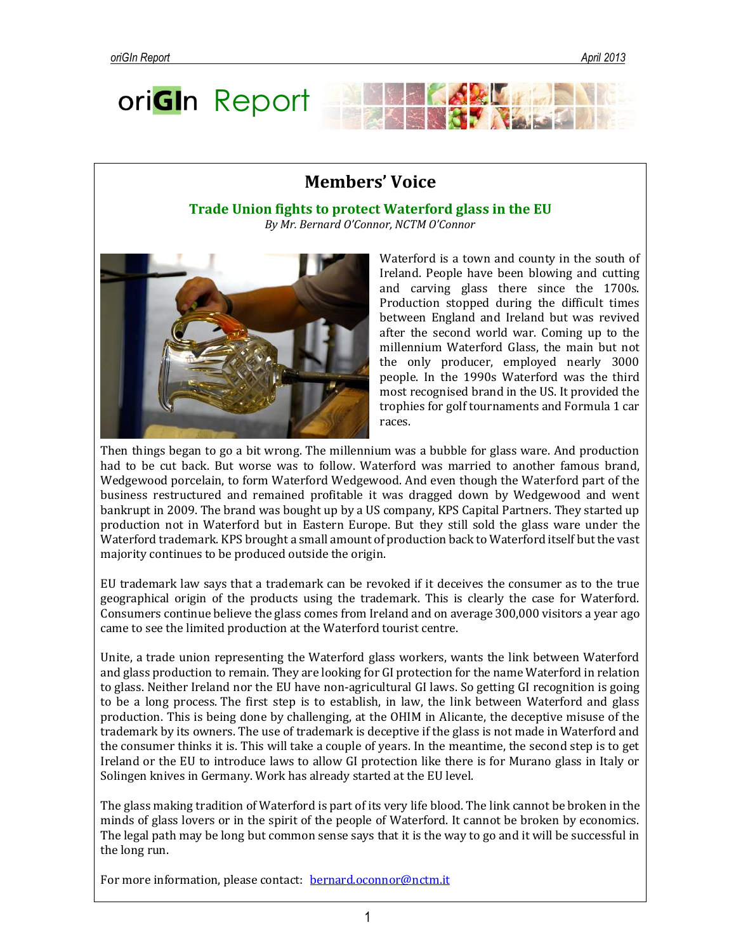# ori**GI**n Report

# **Members' Voice**

**Trade Union fights to protect Waterford glass in the EU** *By Mr. Bernard O'Connor, NCTM O'Connor*



Waterford is a town and county in the south of Ireland. People have been blowing and cutting and carving glass there since the 1700s. Production stopped during the difficult times between England and Ireland but was revived after the second world war. Coming up to the millennium Waterford Glass, the main but not the only producer, employed nearly 3000 people. In the 1990s Waterford was the third most recognised brand in the US. It provided the trophies for golf tournaments and Formula 1 car races.

**KAYL** 

Then things began to go a bit wrong. The millennium was a bubble for glass ware. And production had to be cut back. But worse was to follow. Waterford was married to another famous brand, Wedgewood porcelain, to form Waterford Wedgewood. And even though the Waterford part of the business restructured and remained profitable it was dragged down by Wedgewood and went bankrupt in 2009. The brand was bought up by a US company, KPS Capital Partners. They started up production not in Waterford but in Eastern Europe. But they still sold the glass ware under the Waterford trademark. KPS brought a small amount of production back to Waterford itself but the vast majority continues to be produced outside the origin.

EU trademark law says that a trademark can be revoked if it deceives the consumer as to the true geographical origin of the products using the trademark. This is clearly the case for Waterford. Consumers continue believe the glass comes from Ireland and on average 300,000 visitors a year ago came to see the limited production at the Waterford tourist centre.

Unite, a trade union representing the Waterford glass workers, wants the link between Waterford and glass production to remain. They are looking for GI protection for the name Waterford in relation to glass. Neither Ireland nor the EU have non-agricultural GI laws. So getting GI recognition is going to be a long process. The first step is to establish, in law, the link between Waterford and glass production. This is being done by challenging, at the OHIM in Alicante, the deceptive misuse of the trademark by its owners. The use of trademark is deceptive if the glass is not made in Waterford and the consumer thinks it is. This will take a couple of years. In the meantime, the second step is to get Ireland or the EU to introduce laws to allow GI protection like there is for Murano glass in Italy or Solingen knives in Germany. Work has already started at the EU level.

The glass making tradition of Waterford is part of its very life blood. The link cannot be broken in the minds of glass lovers or in the spirit of the people of Waterford. It cannot be broken by economics. The legal path may be long but common sense says that it is the way to go and it will be successful in the long run.

For more information, please contact: [bernard.oconnor@nctm.it](mailto:bernard.oconnor@nctm.it)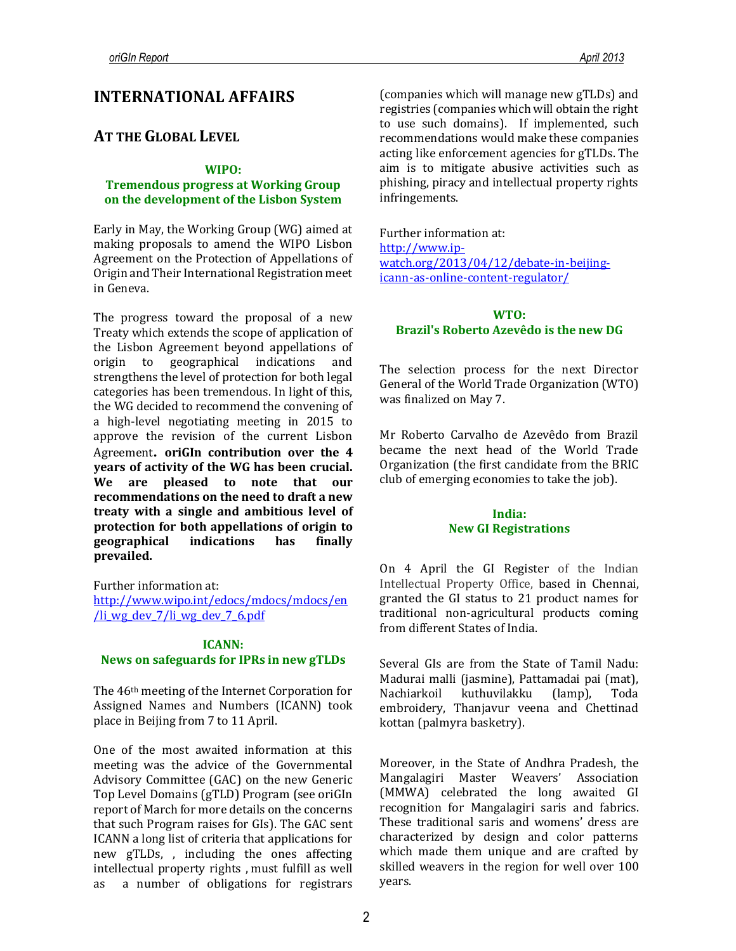# **INTERNATIONAL AFFAIRS**

# **AT THE GLOBAL LEVEL**

#### **WIPO:**

## **Tremendous progress at Working Group on the development of the Lisbon System**

Early in May, the Working Group (WG) aimed at making proposals to amend the WIPO Lisbon Agreement on the Protection of Appellations of Origin and Their International Registration meet in Geneva.

The progress toward the proposal of a new Treaty which extends the scope of application of the Lisbon Agreement beyond appellations of origin to geographical indications and strengthens the level of protection for both legal categories has been tremendous. In light of this, the WG decided to recommend the convening of a high-level negotiating meeting in 2015 to approve the revision of the current Lisbon Agreement**. oriGIn contribution over the 4 years of activity of the WG has been crucial. We are pleased to note that our recommendations on the need to draft a new treaty with a single and ambitious level of protection for both appellations of origin to geographical indications has finally prevailed.** 

Further information at:

[http://www.wipo.int/edocs/mdocs/mdocs/en](http://www.wipo.int/edocs/mdocs/mdocs/en/li_wg_dev_7/li_wg_dev_7_6.pdf) /li wg dev  $7$ /li wg dev  $7$  6.pdf

## **ICANN:**

## **News on safeguards for IPRs in new gTLDs**

The 46th meeting of the Internet Corporation for Assigned Names and Numbers (ICANN) took place in Beijing from 7 to 11 April.

One of the most awaited information at this meeting was the advice of the Governmental Advisory Committee (GAC) on the new Generic Top Level Domains (gTLD) Program (see oriGIn report of March for more details on the concerns that such Program raises for GIs). The GAC sent ICANN a long list of criteria that applications for new gTLDs, , including the ones affecting intellectual property rights , must fulfill as well as a number of obligations for registrars

(companies which will manage new gTLDs) and registries (companies which will obtain the right to use such domains). If implemented, such recommendations would make these companies acting like enforcement agencies for gTLDs. The aim is to mitigate abusive activities such as phishing, piracy and intellectual property rights infringements.

Further information at: [http://www.ip](http://www.ip-watch.org/2013/04/12/debate-in-beijing-icann-as-online-content-regulator/)[watch.org/2013/04/12/debate-in-beijing](http://www.ip-watch.org/2013/04/12/debate-in-beijing-icann-as-online-content-regulator/)[icann-as-online-content-regulator/](http://www.ip-watch.org/2013/04/12/debate-in-beijing-icann-as-online-content-regulator/)

## **WTO: Brazil's Roberto Azevêdo is the new DG**

The selection process for the next Director General of the World Trade Organization (WTO) was finalized on May 7.

Mr Roberto Carvalho de Azevêdo from Brazil became the next head of the World Trade Organization (the first candidate from the BRIC club of emerging economies to take the job).

## **India: New GI Registrations**

On 4 April the GI Register of the Indian Intellectual Property Office, based in Chennai, granted the GI status to 21 product names for traditional non-agricultural products coming from different States of India.

Several GIs are from the State of Tamil Nadu: Madurai malli (jasmine), Pattamadai pai (mat), Nachiarkoil kuthuvilakku (lamp), Toda embroidery, Thanjavur veena and Chettinad kottan (palmyra basketry).

Moreover, in the State of Andhra Pradesh, the Mangalagiri Master Weavers' Association (MMWA) celebrated the long awaited GI recognition for Mangalagiri saris and fabrics. These traditional saris and womens' dress are characterized by design and color patterns which made them unique and are crafted by skilled weavers in the region for well over 100 years.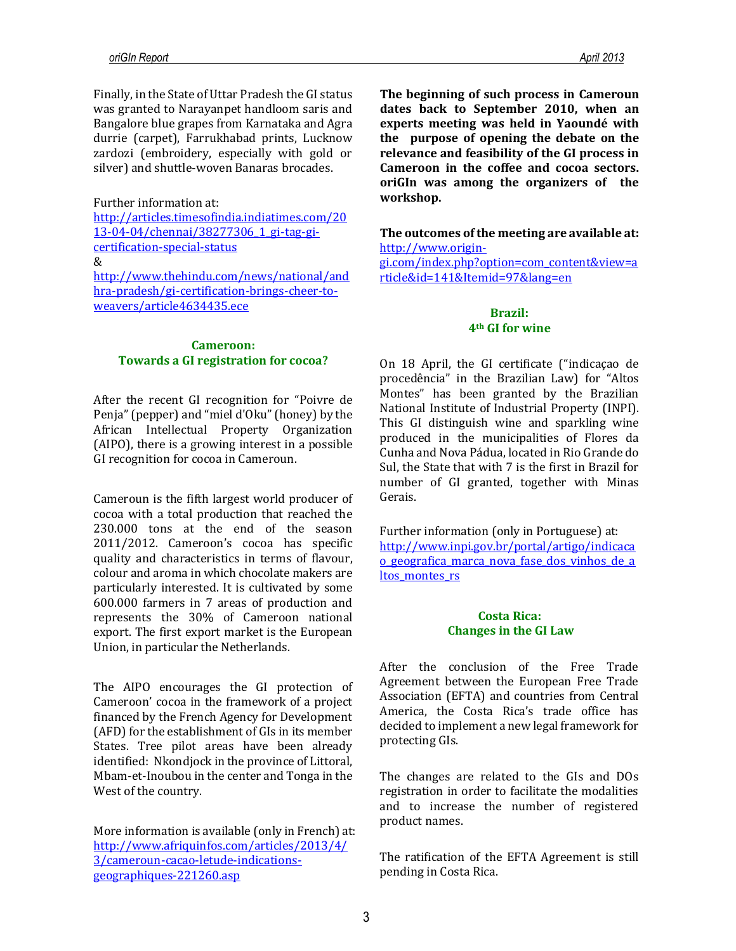Finally, in the State of Uttar Pradesh the GI status was granted to Narayanpet handloom saris and Bangalore blue grapes from Karnataka and Agra durrie (carpet), Farrukhabad prints, Lucknow zardozi (embroidery, especially with gold or silver) and shuttle-woven Banaras brocades.

#### Further information at:

[http://articles.timesofindia.indiatimes.com/20](http://articles.timesofindia.indiatimes.com/2013-04-04/chennai/38277306_1_gi-tag-gi-certification-special-status%20&) [13-04-04/chennai/38277306\\_1\\_gi-tag-gi](http://articles.timesofindia.indiatimes.com/2013-04-04/chennai/38277306_1_gi-tag-gi-certification-special-status%20&)[certification-special-status](http://articles.timesofindia.indiatimes.com/2013-04-04/chennai/38277306_1_gi-tag-gi-certification-special-status%20&) [&](http://articles.timesofindia.indiatimes.com/2013-04-04/chennai/38277306_1_gi-tag-gi-certification-special-status%20&) [http://www.thehindu.com/news/national/and](http://www.thehindu.com/news/national/andhra-pradesh/gi-certification-brings-cheer-to-weavers/article4634435.ece) [hra-pradesh/gi-certification-brings-cheer-to](http://www.thehindu.com/news/national/andhra-pradesh/gi-certification-brings-cheer-to-weavers/article4634435.ece)[weavers/article4634435.ece](http://www.thehindu.com/news/national/andhra-pradesh/gi-certification-brings-cheer-to-weavers/article4634435.ece)

#### **Cameroon: Towards a GI registration for cocoa?**

After the recent GI recognition for "Poivre de Penja" (pepper) and "miel d'Oku" (honey) by the African Intellectual Property Organization (AIPO), there is a growing interest in a possible GI recognition for cocoa in Cameroun.

Cameroun is the fifth largest world producer of cocoa with a total production that reached the 230.000 tons at the end of the season 2011/2012. Cameroon's cocoa has specific quality and characteristics in terms of flavour, colour and aroma in which chocolate makers are particularly interested. It is cultivated by some 600.000 farmers in 7 areas of production and represents the 30% of Cameroon national export. The first export market is the European Union, in particular the Netherlands.

The AIPO encourages the GI protection of Cameroon' cocoa in the framework of a project financed by the French Agency for Development (AFD) for the establishment of GIs in its member States. Tree pilot areas have been already identified: Nkondjock in the province of Littoral, Mbam-et-Inoubou in the center and Tonga in the West of the country.

More information is available (only in French) at: [http://www.afriquinfos.com/articles/2013/4/](http://www.afriquinfos.com/articles/2013/4/3/cameroun-cacao-letude-indications-geographiques-221260.asp) [3/cameroun-cacao-letude-indications](http://www.afriquinfos.com/articles/2013/4/3/cameroun-cacao-letude-indications-geographiques-221260.asp)[geographiques-221260.asp](http://www.afriquinfos.com/articles/2013/4/3/cameroun-cacao-letude-indications-geographiques-221260.asp)

**The beginning of such process in Cameroun dates back to September 2010, when an experts meeting was held in Yaoundé with the purpose of opening the debate on the relevance and feasibility of the GI process in Cameroon in the coffee and cocoa sectors. oriGIn was among the organizers of the workshop.**

**The outcomes of the meeting are available at:** [http://www.origin](http://www.origin-gi.com/index.php?option=com_content&view=article&id=141&Itemid=97&lang=en)[gi.com/index.php?option=com\\_content&view=a](http://www.origin-gi.com/index.php?option=com_content&view=article&id=141&Itemid=97&lang=en)

[rticle&id=141&Itemid=97&lang=en](http://www.origin-gi.com/index.php?option=com_content&view=article&id=141&Itemid=97&lang=en)

## **Brazil: 4th GI for wine**

On 18 April, the GI certificate ("indicaçao de procedência" in the Brazilian Law) for "Altos Montes" has been granted by the Brazilian National Institute of Industrial Property (INPI). This GI distinguish wine and sparkling wine produced in the municipalities of Flores da Cunha and Nova Pádua, located in Rio Grande do Sul, the State that with 7 is the first in Brazil for number of GI granted, together with Minas Gerais.

Further information (only in Portuguese) at: [http://www.inpi.gov.br/portal/artigo/indicaca](http://www.inpi.gov.br/portal/artigo/indicacao_geografica_marca_nova_fase_dos_vinhos_de_altos_montes_rs) [o\\_geografica\\_marca\\_nova\\_fase\\_dos\\_vinhos\\_de\\_a](http://www.inpi.gov.br/portal/artigo/indicacao_geografica_marca_nova_fase_dos_vinhos_de_altos_montes_rs) [ltos\\_montes\\_rs](http://www.inpi.gov.br/portal/artigo/indicacao_geografica_marca_nova_fase_dos_vinhos_de_altos_montes_rs)

## **Costa Rica: Changes in the GI Law**

After the conclusion of the Free Trade Agreement between the European Free Trade Association (EFTA) and countries from Central America, the Costa Rica's trade office has decided to implement a new legal framework for protecting GIs.

The changes are related to the GIs and DOs registration in order to facilitate the modalities and to increase the number of registered product names.

The ratification of the EFTA Agreement is still pending in Costa Rica.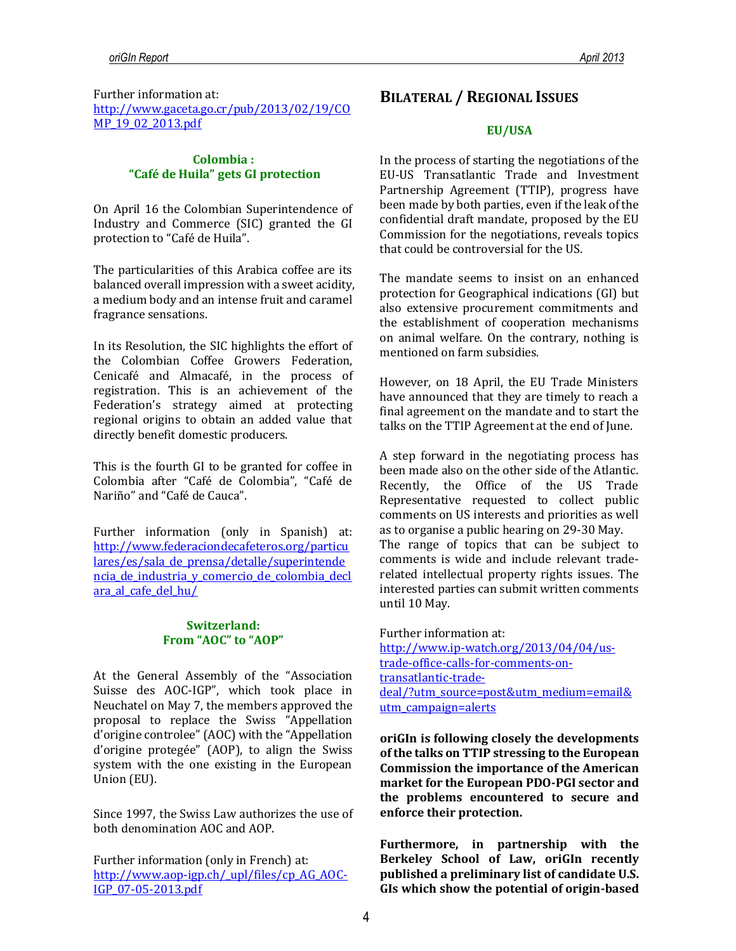#### **Colombia : "Café de Huila" gets GI protection**

On April 16 the Colombian Superintendence of Industry and Commerce (SIC) granted the GI protection to "Café de Huila".

The particularities of this Arabica coffee are its balanced overall impression with a sweet acidity, a medium body and an intense fruit and caramel fragrance sensations.

In its Resolution, the SIC highlights the effort of the Colombian Coffee Growers Federation, Cenicafé and Almacafé, in the process of registration. This is an achievement of the Federation's strategy aimed at protecting regional origins to obtain an added value that directly benefit domestic producers.

This is the fourth GI to be granted for coffee in Colombia after "Café de Colombia", "Café de Nariño" and "Café de Cauca".

Further information (only in Spanish) at: [http://www.federaciondecafeteros.org/particu](http://www.federaciondecafeteros.org/particulares/es/sala_de_prensa/detalle/superintendencia_de_industria_y_comercio_de_colombia_declara_al_cafe_del_hu/) [lares/es/sala\\_de\\_prensa/detalle/superintende](http://www.federaciondecafeteros.org/particulares/es/sala_de_prensa/detalle/superintendencia_de_industria_y_comercio_de_colombia_declara_al_cafe_del_hu/) [ncia\\_de\\_industria\\_y\\_comercio\\_de\\_colombia\\_decl](http://www.federaciondecafeteros.org/particulares/es/sala_de_prensa/detalle/superintendencia_de_industria_y_comercio_de_colombia_declara_al_cafe_del_hu/) [ara\\_al\\_cafe\\_del\\_hu/](http://www.federaciondecafeteros.org/particulares/es/sala_de_prensa/detalle/superintendencia_de_industria_y_comercio_de_colombia_declara_al_cafe_del_hu/)

## **Switzerland: From "AOC" to "AOP"**

At the General Assembly of the "Association Suisse des AOC-IGP", which took place in Neuchatel on May 7, the members approved the proposal to replace the Swiss "Appellation d'origine controlee" (AOC) with the "Appellation d'origine protegée" (AOP), to align the Swiss system with the one existing in the European Union (EU).

Since 1997, the Swiss Law authorizes the use of both denomination AOC and AOP.

Further information (only in French) at: [http://www.aop-igp.ch/\\_upl/files/cp\\_AG\\_AOC-](http://www.aop-igp.ch/_upl/files/cp_AG_AOC-IGP_07-05-2013.pdf)[IGP\\_07-05-2013.pdf](http://www.aop-igp.ch/_upl/files/cp_AG_AOC-IGP_07-05-2013.pdf)

# **BILATERAL / REGIONAL ISSUES**

#### **EU/USA**

In the process of starting the negotiations of the EU-US Transatlantic Trade and Investment Partnership Agreement (TTIP), progress have been made by both parties, even if the leak of the confidential draft mandate, proposed by the EU Commission for the negotiations, reveals topics that could be controversial for the US.

The mandate seems to insist on an enhanced protection for Geographical indications (GI) but also extensive procurement commitments and the establishment of cooperation mechanisms on animal welfare. On the contrary, nothing is mentioned on farm subsidies.

However, on 18 April, the EU Trade Ministers have announced that they are timely to reach a final agreement on the mandate and to start the talks on the TTIP Agreement at the end of June.

A step forward in the negotiating process has been made also on the other side of the Atlantic. Recently, the Office of the US Trade Representative requested to collect public comments on US interests and priorities as well as to organise a public hearing on 29-30 May. The range of topics that can be subject to comments is wide and include relevant traderelated intellectual property rights issues. The interested parties can submit written comments until 10 May.

Further information at: [http://www.ip-watch.org/2013/04/04/us](http://www.ip-watch.org/2013/04/04/us-trade-office-calls-for-comments-on-transatlantic-trade-deal/?utm_source=post&utm_medium=email&utm_campaign=alerts)[trade-office-calls-for-comments-on](http://www.ip-watch.org/2013/04/04/us-trade-office-calls-for-comments-on-transatlantic-trade-deal/?utm_source=post&utm_medium=email&utm_campaign=alerts)[transatlantic-trade](http://www.ip-watch.org/2013/04/04/us-trade-office-calls-for-comments-on-transatlantic-trade-deal/?utm_source=post&utm_medium=email&utm_campaign=alerts)[deal/?utm\\_source=post&utm\\_medium=email&](http://www.ip-watch.org/2013/04/04/us-trade-office-calls-for-comments-on-transatlantic-trade-deal/?utm_source=post&utm_medium=email&utm_campaign=alerts) [utm\\_campaign=alerts](http://www.ip-watch.org/2013/04/04/us-trade-office-calls-for-comments-on-transatlantic-trade-deal/?utm_source=post&utm_medium=email&utm_campaign=alerts)

**oriGIn is following closely the developments of the talks on TTIP stressing to the European Commission the importance of the American market for the European PDO-PGI sector and the problems encountered to secure and enforce their protection.**

**Furthermore, in partnership with the Berkeley School of Law, oriGIn recently published a preliminary list of candidate U.S. GIs which show the potential of origin-based**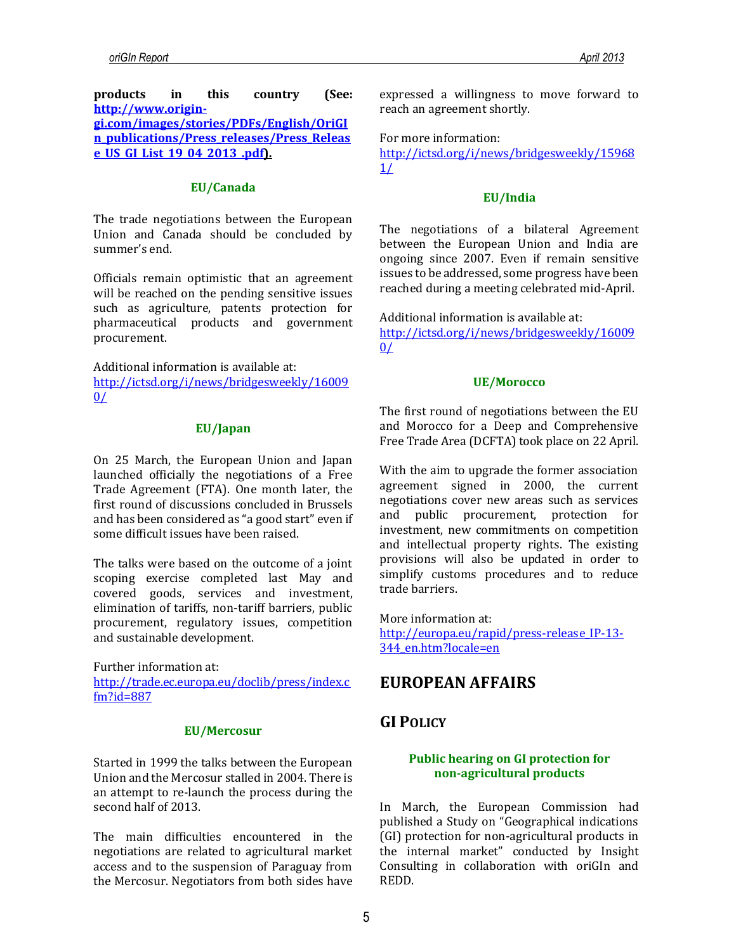**products in this country (See: [http://www.origin](http://www.origin-gi.com/images/stories/PDFs/English/OriGIn_publications/Press_releases/Press_Release_US_GI_List_19_04_2013_.pdf)[gi.com/images/stories/PDFs/English/OriGI](http://www.origin-gi.com/images/stories/PDFs/English/OriGIn_publications/Press_releases/Press_Release_US_GI_List_19_04_2013_.pdf) [n\\_publications/Press\\_releases/Press\\_Releas](http://www.origin-gi.com/images/stories/PDFs/English/OriGIn_publications/Press_releases/Press_Release_US_GI_List_19_04_2013_.pdf) [e\\_US\\_GI\\_List\\_19\\_04\\_2013\\_.pdf\)](http://www.origin-gi.com/images/stories/PDFs/English/OriGIn_publications/Press_releases/Press_Release_US_GI_List_19_04_2013_.pdf).**

#### **EU/Canada**

The trade negotiations between the European Union and Canada should be concluded by summer's end.

Officials remain optimistic that an agreement will be reached on the pending sensitive issues such as agriculture, patents protection for pharmaceutical products and government procurement.

Additional information is available at: [http://ictsd.org/i/news/bridgesweekly/16009](http://ictsd.org/i/news/bridgesweekly/160090/)  $0/$ 

#### **EU/Japan**

On 25 March, the European Union and Japan launched officially the negotiations of a Free Trade Agreement (FTA). One month later, the first round of discussions concluded in Brussels and has been considered as "a good start" even if some difficult issues have been raised.

The talks were based on the outcome of a joint scoping exercise completed last May and covered goods, services and investment, elimination of tariffs, non-tariff barriers, public procurement, regulatory issues, competition and sustainable development.

Further information at: [http://trade.ec.europa.eu/doclib/press/index.c](http://trade.ec.europa.eu/doclib/press/index.cfm?id=887) [fm?id=887](http://trade.ec.europa.eu/doclib/press/index.cfm?id=887)

#### **EU/Mercosur**

Started in 1999 the talks between the European Union and the Mercosur stalled in 2004. There is an attempt to re-launch the process during the second half of 2013.

The main difficulties encountered in the negotiations are related to agricultural market access and to the suspension of Paraguay from the Mercosur. Negotiators from both sides have

expressed a willingness to move forward to reach an agreement shortly.

For more information:

[http://ictsd.org/i/news/bridgesweekly/15968](http://ictsd.org/i/news/bridgesweekly/159681/) [1/](http://ictsd.org/i/news/bridgesweekly/159681/)

## **EU/India**

The negotiations of a bilateral Agreement between the European Union and India are ongoing since 2007. Even if remain sensitive issues to be addressed, some progress have been reached during a meeting celebrated mid-April.

Additional information is available at: [http://ictsd.org/i/news/bridgesweekly/16009](http://ictsd.org/i/news/bridgesweekly/160090/)  $0/$ 

#### **UE/Morocco**

The first round of negotiations between the EU and Morocco for a Deep and Comprehensive Free Trade Area (DCFTA) took place on 22 April.

With the aim to upgrade the former association agreement signed in 2000, the current negotiations cover new areas such as services and public procurement, protection for investment, new commitments on competition and intellectual property rights. The existing provisions will also be updated in order to simplify customs procedures and to reduce trade barriers.

More information at: [http://europa.eu/rapid/press-release\\_IP-13-](http://europa.eu/rapid/press-release_IP-13-344_en.htm?locale=en) [344\\_en.htm?locale=en](http://europa.eu/rapid/press-release_IP-13-344_en.htm?locale=en)

# **EUROPEAN AFFAIRS**

# **GI POLICY**

## **Public hearing on GI protection for non-agricultural products**

In March, the European Commission had published a Study on "Geographical indications (GI) protection for non-agricultural products in the internal market" conducted by Insight Consulting in collaboration with oriGIn and REDD.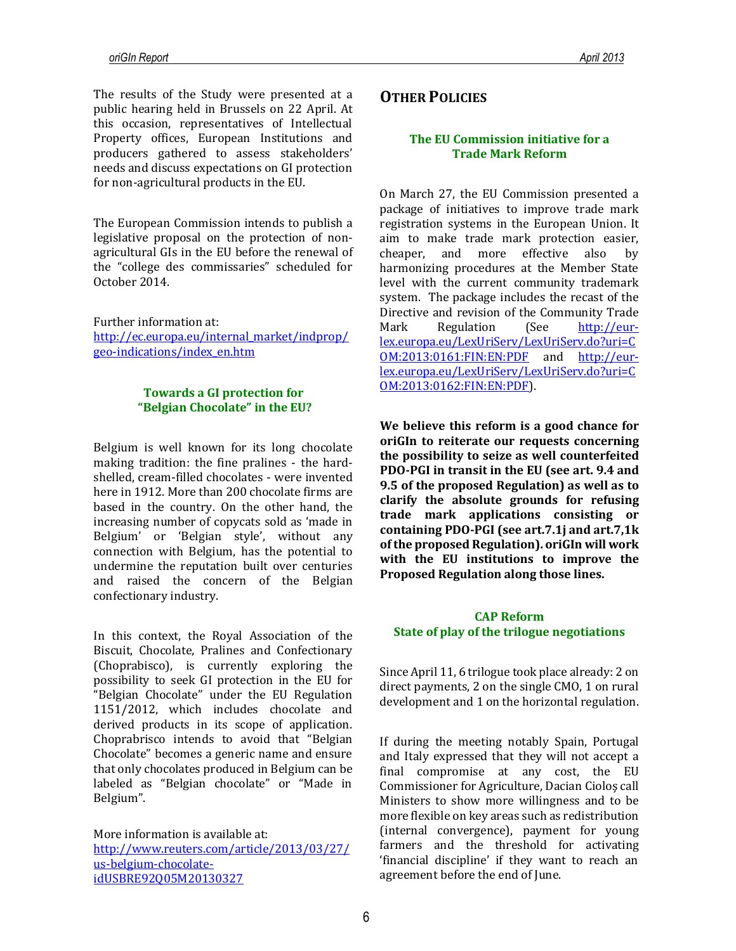The results of the Study were presented at a public hearing held in Brussels on 22 April. At this occasion, representatives of Intellectual Property offices, European Institutions and producers gathered to assess stakeholders' needs and discuss expectations on GI protection for non-agricultural products in the EU.

The European Commission intends to publish a legislative proposal on the protection of nonagricultural GIs in the EU before the renewal of the "college des commissaries" scheduled for October 2014.

Further information at: [http://ec.europa.eu/internal\\_market/indprop/](http://ec.europa.eu/internal_market/indprop/geo-indications/index_en.htm) [geo-indications/index\\_en.htm](http://ec.europa.eu/internal_market/indprop/geo-indications/index_en.htm)

## **Towards a GI protection for "Belgian Chocolate" in the EU?**

Belgium is well known for its long chocolate making tradition: the fine pralines - the hardshelled, cream-filled chocolates - were invented here in 1912. More than 200 chocolate firms are based in the country. On the other hand, the increasing number of copycats sold as 'made in Belgium' or 'Belgian style', without any connection with Belgium, has the potential to undermine the reputation built over centuries and raised the concern of the Belgian confectionary industry.

In this context, the Royal Association of the Biscuit, Chocolate, Pralines and Confectionary (Choprabisco), is currently exploring the possibility to seek GI protection in the EU for "Belgian Chocolate" under the EU Regulation 1151/2012, which includes chocolate and derived products in its scope of application. Choprabrisco intends to avoid that "Belgian Chocolate" becomes a generic name and ensure that only chocolates produced in Belgium can be labeled as "Belgian chocolate" or "Made in Belgium".

More information is available at: [http://www.reuters.com/article/2013/03/27/](http://www.reuters.com/article/2013/03/27/us-belgium-chocolate-idUSBRE92Q05M20130327) [us-belgium-chocolate](http://www.reuters.com/article/2013/03/27/us-belgium-chocolate-idUSBRE92Q05M20130327)[idUSBRE92Q05M20130327](http://www.reuters.com/article/2013/03/27/us-belgium-chocolate-idUSBRE92Q05M20130327)

# **OTHER POLICIES**

## **The EU Commission initiative for a Trade Mark Reform**

On March 27, the EU Commission presented a package of initiatives to improve trade mark registration systems in the European Union. It aim to make trade mark protection easier, cheaper, and more effective also by harmonizing procedures at the Member State level with the current community trademark system. The package includes the recast of the Directive and revision of the Community Trade Mark Regulation (See [http://eur](http://eur-lex.europa.eu/LexUriServ/LexUriServ.do?uri=COM:2013:0161:FIN:EN:PDF)[lex.europa.eu/LexUriServ/LexUriServ.do?uri=C](http://eur-lex.europa.eu/LexUriServ/LexUriServ.do?uri=COM:2013:0161:FIN:EN:PDF) [OM:2013:0161:FIN:EN:PDF](http://eur-lex.europa.eu/LexUriServ/LexUriServ.do?uri=COM:2013:0161:FIN:EN:PDF) and [http://eur](http://eur-lex.europa.eu/LexUriServ/LexUriServ.do?uri=COM:2013:0162:FIN:EN:PDF)[lex.europa.eu/LexUriServ/LexUriServ.do?uri=C](http://eur-lex.europa.eu/LexUriServ/LexUriServ.do?uri=COM:2013:0162:FIN:EN:PDF) [OM:2013:0162:FIN:EN:PDF\)](http://eur-lex.europa.eu/LexUriServ/LexUriServ.do?uri=COM:2013:0162:FIN:EN:PDF).

**We believe this reform is a good chance for oriGIn to reiterate our requests concerning the possibility to seize as well counterfeited PDO-PGI in transit in the EU (see art. 9.4 and 9.5 of the proposed Regulation) as well as to clarify the absolute grounds for refusing trade mark applications consisting or containing PDO-PGI (see art.7.1j and art.7,1k of the proposed Regulation). oriGIn will work with the EU institutions to improve the Proposed Regulation along those lines.** 

#### **CAP Reform State of play of the trilogue negotiations**

Since April 11, 6 trilogue took place already: 2 on direct payments, 2 on the single CMO, 1 on rural development and 1 on the horizontal regulation.

If during the meeting notably Spain, Portugal and Italy expressed that they will not accept a final compromise at any cost, the EU Commissioner for Agriculture, Dacian Cioloş call Ministers to show more willingness and to be more flexible on key areas such as redistribution (internal convergence), payment for young farmers and the threshold for activating 'financial discipline' if they want to reach an agreement before the end of June.